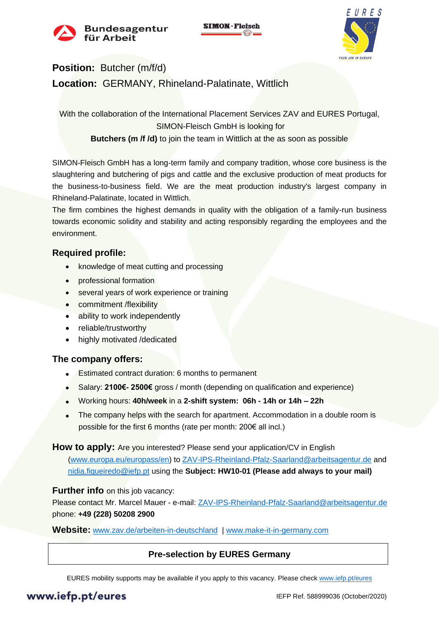



# **Position:** Butcher (m/f/d) **Location:** GERMANY, Rhineland-Palatinate, Wittlich

With the collaboration of the International Placement Services ZAV and EURES Portugal, SIMON-Fleisch GmbH is looking for

**Butchers (m /f /d)** to join the team in Wittlich at the as soon as possible

SIMON-Fleisch GmbH has a long-term family and company tradition, whose core business is the slaughtering and butchering of pigs and cattle and the exclusive production of meat products for the business-to-business field. We are the meat production industry's largest company in Rhineland-Palatinate, located in Wittlich.

The firm combines the highest demands in quality with the obligation of a family-run business towards economic solidity and stability and acting responsibly regarding the employees and the environment.

## **Required profile:**

- knowledge of meat cutting and processing
- professional formation
- several years of work experience or training
- commitment /flexibility
- ability to work independently
- reliable/trustworthy
- highly motivated /dedicated

## **The company offers:**

- Estimated contract duration: 6 months to permanent
- Salary: **2100€- 2500€** gross / month (depending on qualification and experience)
- Working hours: **40h/week** in a **2-shift system: 06h - 14h or 14h – 22h**
- The company helps with the search for apartment. Accommodation in a double room is possible for the first 6 months (rate per month: 200€ all incl.)

#### **How to apply:** Are you interested? Please send your application/CV in English

[\(www.europa.eu/europass/en\)](http://www.europa.eu/europass/en) to [ZAV-IPS-Rheinland-Pfalz-Saarland@arbeitsagentur.de](mailto:ZAV-IPS-Rheinland-Pfalz-Saarland@arbeitsagentur.de) and [nidia.figueiredo@iefp.pt](mailto:nidia.figueiredo@iefp.pt) using the **Subject: HW10-01 (Please add always to your mail)**

#### **Further info** on this job vacancy:

Please contact Mr. Marcel Mauer - e-mail[: ZAV-IPS-Rheinland-Pfalz-Saarland@arbeitsagentur.de](mailto:ZAV-IPS-Rheinland-Pfalz-Saarland@arbeitsagentur.de) phone: **+49 (228) 50208 2900**

**Website:** [www.zav.de/arbeiten-in-deutschland](http://www.zav.de/arbeiten-in-deutschland) | [www.make-it-in-germany.com](http://www.make-it-in-germany.com/)

## **Pre-selection by EURES Germany**

EURES mobility supports may be available if you apply to this vacancy. Please check [www.iefp.pt/eures](http://www.iefp.pt/eures)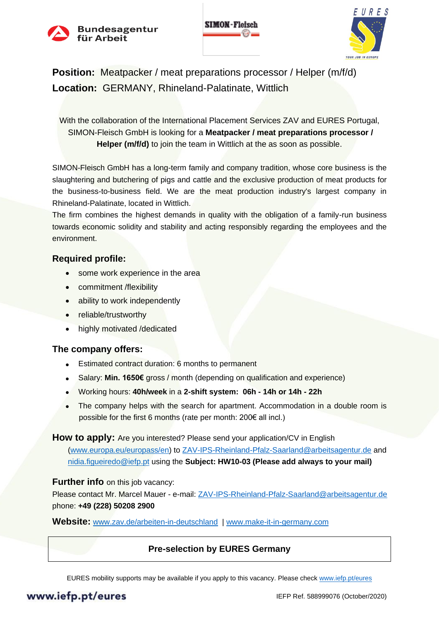



**Position:** Meatpacker / meat preparations processor / Helper (m/f/d) **Location:** GERMANY, Rhineland-Palatinate, Wittlich

With the collaboration of the International Placement Services ZAV and EURES Portugal, SIMON-Fleisch GmbH is looking for a **Meatpacker / meat preparations processor / Helper (m/f/d)** to join the team in Wittlich at the as soon as possible.

SIMON-Fleisch GmbH has a long-term family and company tradition, whose core business is the slaughtering and butchering of pigs and cattle and the exclusive production of meat products for the business-to-business field. We are the meat production industry's largest company in Rhineland-Palatinate, located in Wittlich.

The firm combines the highest demands in quality with the obligation of a family-run business towards economic solidity and stability and acting responsibly regarding the employees and the environment.

#### **Required profile:**

- some work experience in the area
- commitment /flexibility
- ability to work independently
- reliable/trustworthy
- highly motivated /dedicated

#### **The company offers:**

- Estimated contract duration: 6 months to permanent
- Salary: **Min. 1650€** gross / month (depending on qualification and experience)
- Working hours: **40h/week** in a **2-shift system: 06h - 14h or 14h - 22h**
- The company helps with the search for apartment. Accommodation in a double room is possible for the first 6 months (rate per month: 200€ all incl.)

#### **How to apply:** Are you interested? Please send your application/CV in English

[\(www.europa.eu/europass/en\)](http://www.europa.eu/europass/en) to [ZAV-IPS-Rheinland-Pfalz-Saarland@arbeitsagentur.de](mailto:ZAV-IPS-Rheinland-Pfalz-Saarland@arbeitsagentur.de) and [nidia.figueiredo@iefp.pt](mailto:nidia.figueiredo@iefp.pt) using the **Subject: HW10-03 (Please add always to your mail)**

#### **Further info** on this job vacancy:

Please contact Mr. Marcel Mauer - e-mail[: ZAV-IPS-Rheinland-Pfalz-Saarland@arbeitsagentur.de](mailto:ZAV-IPS-Rheinland-Pfalz-Saarland@arbeitsagentur.de) phone: **+49 (228) 50208 2900**

**Website:** [www.zav.de/arbeiten-in-deutschland](http://www.zav.de/arbeiten-in-deutschland) | [www.make-it-in-germany.com](http://www.make-it-in-germany.com/)

## **Pre-selection by EURES Germany**

EURES mobility supports may be available if you apply to this vacancy. Please check [www.iefp.pt/eures](http://www.iefp.pt/eures)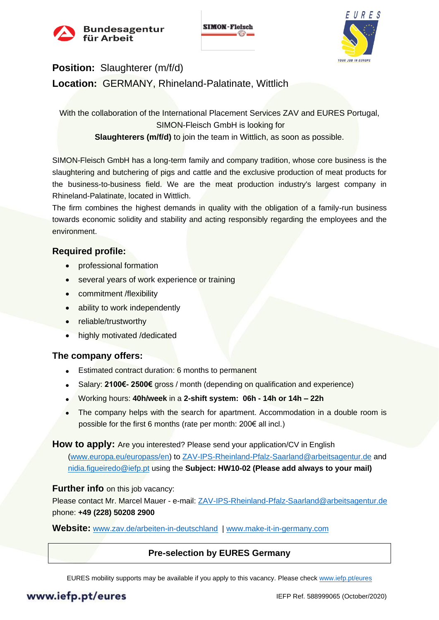



# **Position:** Slaughterer (m/f/d) **Location:** GERMANY, Rhineland-Palatinate, Wittlich

With the collaboration of the International Placement Services ZAV and EURES Portugal. SIMON-Fleisch GmbH is looking for **Slaughterers (m/f/d)** to join the team in Wittlich, as soon as possible.

SIMON-Fleisch GmbH has a long-term family and company tradition, whose core business is the slaughtering and butchering of pigs and cattle and the exclusive production of meat products for the business-to-business field. We are the meat production industry's largest company in Rhineland-Palatinate, located in Wittlich.

The firm combines the highest demands in quality with the obligation of a family-run business towards economic solidity and stability and acting responsibly regarding the employees and the environment.

## **Required profile:**

- professional formation
- several years of work experience or training
- commitment /flexibility
- ability to work independently
- reliable/trustworthy
- highly motivated /dedicated

## **The company offers:**

- Estimated contract duration: 6 months to permanent
- Salary: **2100€- 2500€** gross / month (depending on qualification and experience)
- Working hours: **40h/week** in a **2-shift system: 06h - 14h or 14h – 22h**
- The company helps with the search for apartment. Accommodation in a double room is possible for the first 6 months (rate per month: 200€ all incl.)

#### **How to apply:** Are you interested? Please send your application/CV in English

[\(www.europa.eu/europass/en\)](http://www.europa.eu/europass/en) to [ZAV-IPS-Rheinland-Pfalz-Saarland@arbeitsagentur.de](mailto:ZAV-IPS-Rheinland-Pfalz-Saarland@arbeitsagentur.de) and [nidia.figueiredo@iefp.pt](mailto:nidia.figueiredo@iefp.pt) using the **Subject: HW10-02 (Please add always to your mail)**

## **Further info** on this job vacancy:

Please contact Mr. Marcel Mauer - e-mail[: ZAV-IPS-Rheinland-Pfalz-Saarland@arbeitsagentur.de](mailto:ZAV-IPS-Rheinland-Pfalz-Saarland@arbeitsagentur.de) phone: **+49 (228) 50208 2900**

**Website:** [www.zav.de/arbeiten-in-deutschland](http://www.zav.de/arbeiten-in-deutschland) | [www.make-it-in-germany.com](http://www.make-it-in-germany.com/)

## **Pre-selection by EURES Germany**

EURES mobility supports may be available if you apply to this vacancy. Please check [www.iefp.pt/eures](http://www.iefp.pt/eures)